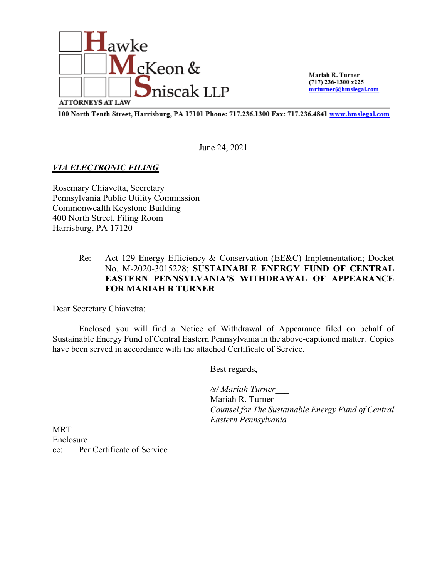

Mariah R. Turner  $(717)$  236-1300 x225 mrturner@hmslegal.com

100 North Tenth Street, Harrisburg, PA 17101 Phone: 717.236.1300 Fax: 717.236.4841 www.hmslegal.com

June 24, 2021

### *VIA ELECTRONIC FILING*

Rosemary Chiavetta, Secretary Pennsylvania Public Utility Commission Commonwealth Keystone Building 400 North Street, Filing Room Harrisburg, PA 17120

# Re: Act 129 Energy Efficiency & Conservation (EE&C) Implementation; Docket No. M-2020-3015228; **SUSTAINABLE ENERGY FUND OF CENTRAL EASTERN PENNSYLVANIA'S WITHDRAWAL OF APPEARANCE FOR MARIAH R TURNER**

Dear Secretary Chiavetta:

Enclosed you will find a Notice of Withdrawal of Appearance filed on behalf of Sustainable Energy Fund of Central Eastern Pennsylvania in the above-captioned matter. Copies have been served in accordance with the attached Certificate of Service.

Best regards,

*/s/ Mariah Turner\_\_\_* Mariah R. Turner *Counsel for The Sustainable Energy Fund of Central Eastern Pennsylvania*

**MRT** Enclosure cc: Per Certificate of Service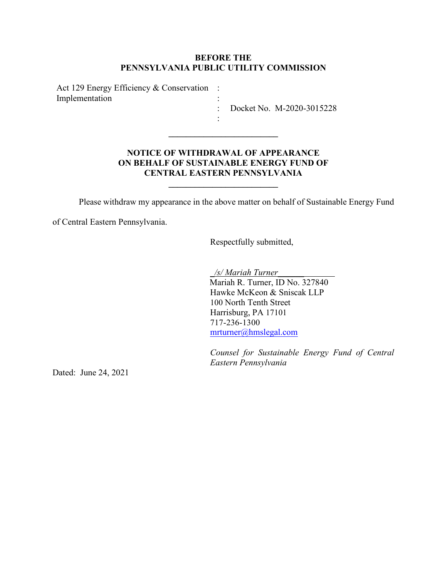#### **BEFORE THE PENNSYLVANIA PUBLIC UTILITY COMMISSION**

Act 129 Energy Efficiency & Conservation : Implementation :

: Docket No. M-2020-3015228

# **NOTICE OF WITHDRAWAL OF APPEARANCE ON BEHALF OF SUSTAINABLE ENERGY FUND OF CENTRAL EASTERN PENNSYLVANIA**

**\_\_\_\_\_\_\_\_\_\_\_\_\_\_\_\_\_\_\_\_\_\_\_\_\_**

**\_\_\_\_\_\_\_\_\_\_\_\_\_\_\_\_\_\_\_\_\_\_\_\_\_**

:

Please withdraw my appearance in the above matter on behalf of Sustainable Energy Fund

of Central Eastern Pennsylvania.

Respectfully submitted,

\_*/s/ Mariah Turner*\_\_\_\_\_\_ Mariah R. Turner, ID No. 327840 Hawke McKeon & Sniscak LLP 100 North Tenth Street Harrisburg, PA 17101 717-236-1300 mrturner@hmslegal.com

*Counsel for Sustainable Energy Fund of Central Eastern Pennsylvania*

Dated: June 24, 2021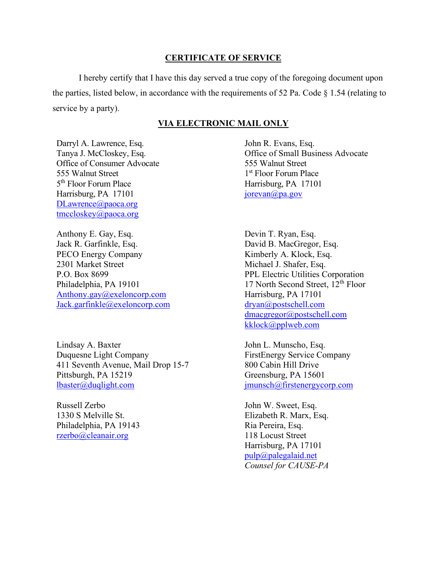#### **CERTIFICATE OF SERVICE**

I hereby certify that I have this day served a true copy of the foregoing document upon the parties, listed below, in accordance with the requirements of 52 Pa. Code  $\S$  1.54 (relating to service by a party).

#### **VIA ELECTRONIC MAIL ONLY**

Darryl A. Lawrence, Esq. Tanya J. McCloskey, Esq. Office of Consumer Advocate 555 Walnut Street 5<sup>th</sup> Floor Forum Place Harrisburg, PA 17101 [DLawrence@paoca.org](mailto:DLawrence@paoca.org) [tmccloskey@paoca.org](mailto:tmccloskey@paoca.org)

Anthony E. Gay, Esq. Jack R. Garfinkle, Esq. PECO Energy Company 2301 Market Street P.O. Box 8699 Philadelphia, PA 19101 [Anthony.gay@exeloncorp.com](mailto:Anthony.gay@exeloncorp.com) [Jack.garfinkle@exeloncorp.com](mailto:Jack.garfinkle@exeloncorp.com)

Lindsay A. Baxter Duquesne Light Company 411 Seventh Avenue, Mail Drop 15-7 Pittsburgh, PA 15219 [lbaster@duqlight.com](mailto:lbaster@duqlight.com)

Russell Zerbo 1330 S Melville St. Philadelphia, PA 19143 [rzerbo@cleanair.org](mailto:rzerbo@cleanair.org)

John R. Evans, Esq. Office of Small Business Advocate 555 Walnut Street 1st Floor Forum Place Harrisburg, PA 17101 [jorevan@pa.gov](mailto:jorevan@pa.gov)

Devin T. Ryan, Esq. David B. MacGregor, Esq. Kimberly A. Klock, Esq. Michael J. Shafer, Esq. PPL Electric Utilities Corporation 17 North Second Street,  $12<sup>th</sup>$  Floor Harrisburg, PA 17101 [dryan@postschell.com](mailto:dryan@postschell.com) [dmacgregor@postschell.com](mailto:dmacgregor@postschell.com) [kklock@pplweb.com](mailto:kklock@pplweb.com)

John L. Munscho, Esq. FirstEnergy Service Company 800 Cabin Hill Drive Greensburg, PA 15601 [jmunsch@firstenergycorp.com](mailto:jmunsch@firstenergycorp.com)

John W. Sweet, Esq. Elizabeth R. Marx, Esq. Ria Pereira, Esq. 118 Locust Street Harrisburg, PA 17101 [pulp@palegalaid.net](mailto:pulp@palegalaid.net) *Counsel for CAUSE-PA*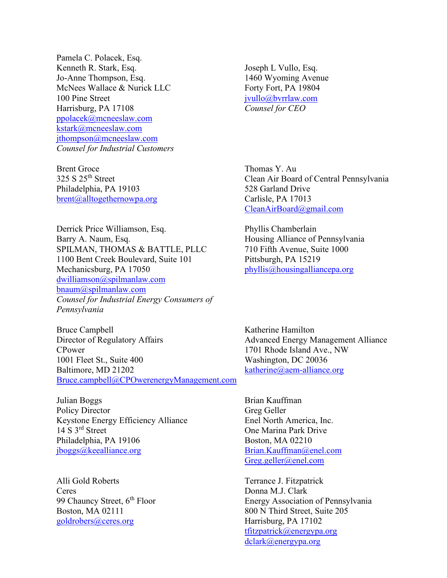Pamela C. Polacek, Esq. Kenneth R. Stark, Esq. Jo-Anne Thompson, Esq. McNees Wallace & Nurick LLC 100 Pine Street Harrisburg, PA 17108 [ppolacek@mcneeslaw.com](mailto:ppolacek@mcneeslaw.com) [kstark@mcneeslaw.com](mailto:kstark@mcneeslaw.com) [jthompson@mcneeslaw.com](mailto:jthompson@mcneeslaw.com) *Counsel for Industrial Customers*

Brent Groce 325 S 25th Street Philadelphia, PA 19103 [brent@alltogethernowpa.org](mailto:brent@alltogethernowpa.org)

Derrick Price Williamson, Esq. Barry A. Naum, Esq. SPILMAN, THOMAS & BATTLE, PLLC 1100 Bent Creek Boulevard, Suite 101 Mechanicsburg, PA 17050 [dwilliamson@spilmanlaw.com](mailto:dwilliamson@spilmanlaw.com) [bnaum@spilmanlaw.com](mailto:bnaum@spilmanlaw.com) *Counsel for Industrial Energy Consumers of Pennsylvania*

Bruce Campbell Director of Regulatory Affairs CPower 1001 Fleet St., Suite 400 Baltimore, MD 21202 [Bruce.campbell@CPOwerenergyManagement.com](mailto:Bruce.campbell@CPOwerenergyManagement.com)

Julian Boggs Policy Director Keystone Energy Efficiency Alliance 14 S 3<sup>rd</sup> Street Philadelphia, PA 19106 [jboggs@keealliance.org](mailto:jboggs@keealliance.org)

Alli Gold Roberts **Ceres** 99 Chauncy Street, 6<sup>th</sup> Floor Boston, MA 02111 [goldrobers@ceres.org](mailto:goldrobers@ceres.org)

Joseph L Vullo, Esq. 1460 Wyoming Avenue Forty Fort, PA 19804 [jvullo@bvrrlaw.com](mailto:jvullo@bvrrlaw.com) *Counsel for CEO*

Thomas Y. Au Clean Air Board of Central Pennsylvania 528 Garland Drive Carlisle, PA 17013 [CleanAirBoard@gmail.com](mailto:CleanAirBoard@gmail.com)

Phyllis Chamberlain Housing Alliance of Pennsylvania 710 Fifth Avenue, Suite 1000 Pittsburgh, PA 15219 [phyllis@housingalliancepa.org](mailto:phyllis@housingalliancepa.org)

Katherine Hamilton Advanced Energy Management Alliance 1701 Rhode Island Ave., NW Washington, DC 20036 [katherine@aem-alliance.org](mailto:katherine@aem-alliance.org)

Brian Kauffman Greg Geller Enel North America, Inc. One Marina Park Drive Boston, MA 02210 [Brian.Kauffman@enel.com](mailto:Brian.Kauffman@enel.com) [Greg.geller@enel.com](mailto:Greg.geller@enel.com)

Terrance J. Fitzpatrick Donna M.J. Clark Energy Association of Pennsylvania 800 N Third Street, Suite 205 Harrisburg, PA 17102 [tfitzpatrick@energypa.org](mailto:tfitzpatrick@energypa.org) [dclark@energypa.org](mailto:dclark@energypa.org)